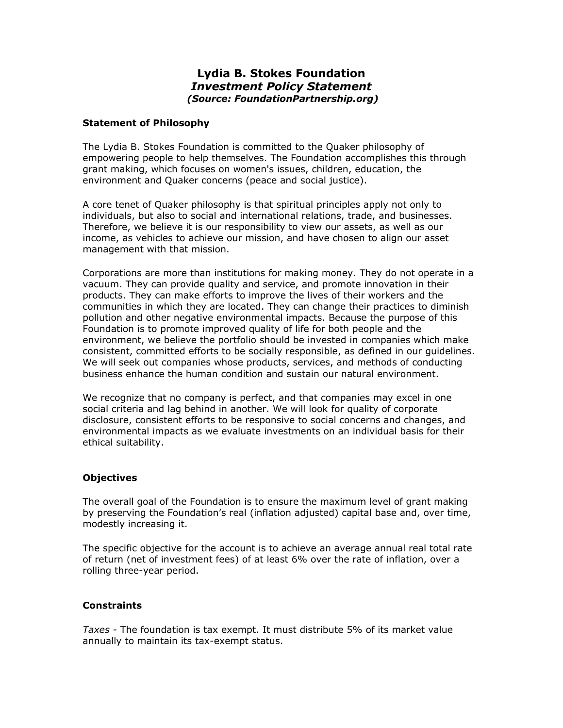# **Lydia B. Stokes Foundation**  *Investment Policy Statement (Source: FoundationPartnership.org)*

#### **Statement of Philosophy**

The Lydia B. Stokes Foundation is committed to the Quaker philosophy of empowering people to help themselves. The Foundation accomplishes this through grant making, which focuses on women's issues, children, education, the environment and Quaker concerns (peace and social justice).

A core tenet of Quaker philosophy is that spiritual principles apply not only to individuals, but also to social and international relations, trade, and businesses. Therefore, we believe it is our responsibility to view our assets, as well as our income, as vehicles to achieve our mission, and have chosen to align our asset management with that mission.

Corporations are more than institutions for making money. They do not operate in a vacuum. They can provide quality and service, and promote innovation in their products. They can make efforts to improve the lives of their workers and the communities in which they are located. They can change their practices to diminish pollution and other negative environmental impacts. Because the purpose of this Foundation is to promote improved quality of life for both people and the environment, we believe the portfolio should be invested in companies which make consistent, committed efforts to be socially responsible, as defined in our guidelines. We will seek out companies whose products, services, and methods of conducting business enhance the human condition and sustain our natural environment.

We recognize that no company is perfect, and that companies may excel in one social criteria and lag behind in another. We will look for quality of corporate disclosure, consistent efforts to be responsive to social concerns and changes, and environmental impacts as we evaluate investments on an individual basis for their ethical suitability.

#### **Objectives**

The overall goal of the Foundation is to ensure the maximum level of grant making by preserving the Foundation's real (inflation adjusted) capital base and, over time, modestly increasing it.

The specific objective for the account is to achieve an average annual real total rate of return (net of investment fees) of at least 6% over the rate of inflation, over a rolling three-year period.

#### **Constraints**

*Taxes* - The foundation is tax exempt. It must distribute 5% of its market value annually to maintain its tax-exempt status.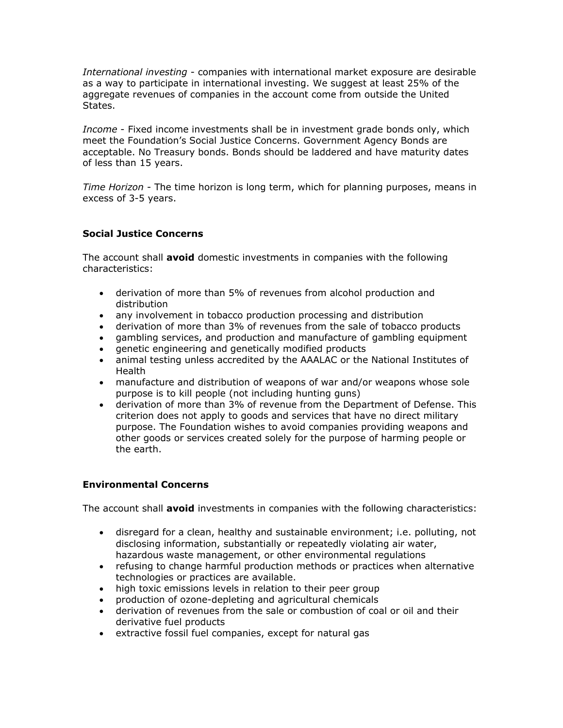*International investing* - companies with international market exposure are desirable as a way to participate in international investing. We suggest at least 25% of the aggregate revenues of companies in the account come from outside the United States.

*Income* - Fixed income investments shall be in investment grade bonds only, which meet the Foundation's Social Justice Concerns. Government Agency Bonds are acceptable. No Treasury bonds. Bonds should be laddered and have maturity dates of less than 15 years.

*Time Horizon* - The time horizon is long term, which for planning purposes, means in excess of 3-5 years.

## **Social Justice Concerns**

The account shall **avoid** domestic investments in companies with the following characteristics:

- derivation of more than 5% of revenues from alcohol production and distribution
- any involvement in tobacco production processing and distribution
- derivation of more than 3% of revenues from the sale of tobacco products
- gambling services, and production and manufacture of gambling equipment
- genetic engineering and genetically modified products
- x animal testing unless accredited by the AAALAC or the National Institutes of Health
- manufacture and distribution of weapons of war and/or weapons whose sole purpose is to kill people (not including hunting guns)
- derivation of more than 3% of revenue from the Department of Defense. This criterion does not apply to goods and services that have no direct military purpose. The Foundation wishes to avoid companies providing weapons and other goods or services created solely for the purpose of harming people or the earth.

## **Environmental Concerns**

The account shall **avoid** investments in companies with the following characteristics:

- disregard for a clean, healthy and sustainable environment; i.e. polluting, not disclosing information, substantially or repeatedly violating air water, hazardous waste management, or other environmental regulations
- refusing to change harmful production methods or practices when alternative technologies or practices are available.
- high toxic emissions levels in relation to their peer group
- production of ozone-depleting and agricultural chemicals
- derivation of revenues from the sale or combustion of coal or oil and their derivative fuel products
- extractive fossil fuel companies, except for natural gas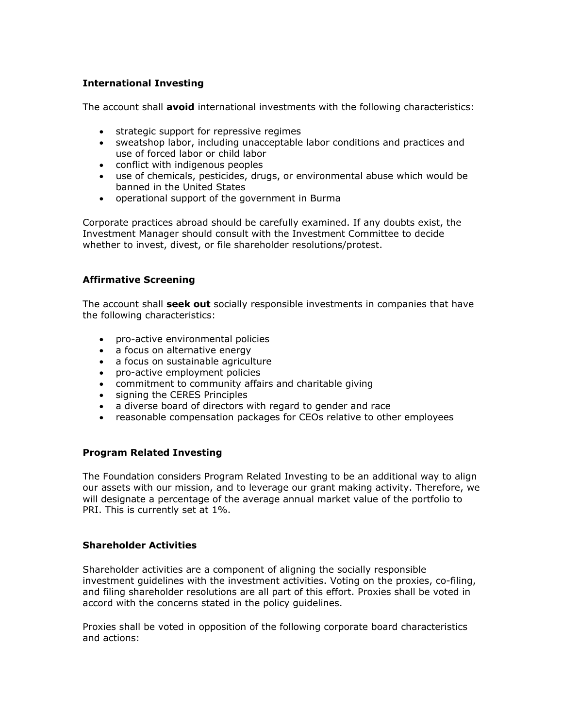## **International Investing**

The account shall **avoid** international investments with the following characteristics:

- **•** strategic support for repressive regimes
- sweatshop labor, including unacceptable labor conditions and practices and use of forced labor or child labor
- conflict with indigenous peoples
- use of chemicals, pesticides, drugs, or environmental abuse which would be banned in the United States
- operational support of the government in Burma

Corporate practices abroad should be carefully examined. If any doubts exist, the Investment Manager should consult with the Investment Committee to decide whether to invest, divest, or file shareholder resolutions/protest.

#### **Affirmative Screening**

The account shall **seek out** socially responsible investments in companies that have the following characteristics:

- pro-active environmental policies
- a focus on alternative energy
- a focus on sustainable agriculture
- pro-active employment policies
- commitment to community affairs and charitable giving
- signing the CERES Principles
- a diverse board of directors with regard to gender and race
- reasonable compensation packages for CEOs relative to other employees

#### **Program Related Investing**

The Foundation considers Program Related Investing to be an additional way to align our assets with our mission, and to leverage our grant making activity. Therefore, we will designate a percentage of the average annual market value of the portfolio to PRI. This is currently set at 1%.

#### **Shareholder Activities**

Shareholder activities are a component of aligning the socially responsible investment guidelines with the investment activities. Voting on the proxies, co-filing, and filing shareholder resolutions are all part of this effort. Proxies shall be voted in accord with the concerns stated in the policy guidelines.

Proxies shall be voted in opposition of the following corporate board characteristics and actions: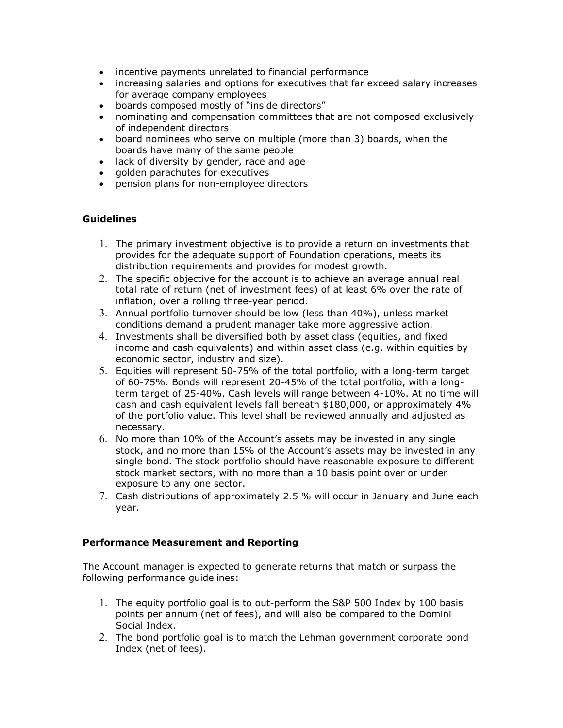- incentive payments unrelated to financial performance
- increasing salaries and options for executives that far exceed salary increases for average company employees
- boards composed mostly of "inside directors"
- nominating and compensation committees that are not composed exclusively of independent directors
- board nominees who serve on multiple (more than 3) boards, when the boards have many of the same people
- lack of diversity by gender, race and age
- golden parachutes for executives
- pension plans for non-employee directors

## **Guidelines**

- 1. The primary investment objective is to provide a return on investments that provides for the adequate support of Foundation operations, meets its distribution requirements and provides for modest growth.
- 2. The specific objective for the account is to achieve an average annual real total rate of return (net of investment fees) of at least 6% over the rate of inflation, over a rolling three-year period.
- 3. Annual portfolio turnover should be low (less than 40%), unless market conditions demand a prudent manager take more aggressive action.
- 4. Investments shall be diversified both by asset class (equities, and fixed income and cash equivalents) and within asset class (e.g. within equities by economic sector, industry and size).
- 5. Equities will represent 50-75% of the total portfolio, with a long-term target of 60-75%. Bonds will represent 20-45% of the total portfolio, with a longterm target of 25-40%. Cash levels will range between 4-10%. At no time will cash and cash equivalent levels fall beneath \$180,000, or approximately 4% of the portfolio value. This level shall be reviewed annually and adjusted as necessary.
- 6. No more than 10% of the Account's assets may be invested in any single stock, and no more than 15% of the Account's assets may be invested in any single bond. The stock portfolio should have reasonable exposure to different stock market sectors, with no more than a 10 basis point over or under exposure to any one sector.
- 7. Cash distributions of approximately 2.5 % will occur in January and June each year.

#### **Performance Measurement and Reporting**

The Account manager is expected to generate returns that match or surpass the following performance guidelines:

- 1. The equity portfolio goal is to out-perform the S&P 500 Index by 100 basis points per annum (net of fees), and will also be compared to the Domini Social Index.
- 2. The bond portfolio goal is to match the Lehman government corporate bond Index (net of fees).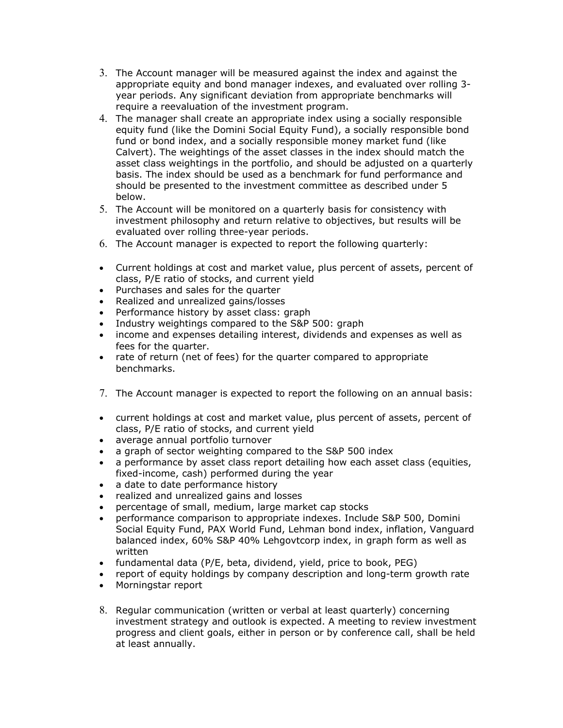- 3. The Account manager will be measured against the index and against the appropriate equity and bond manager indexes, and evaluated over rolling 3 year periods. Any significant deviation from appropriate benchmarks will require a reevaluation of the investment program.
- 4. The manager shall create an appropriate index using a socially responsible equity fund (like the Domini Social Equity Fund), a socially responsible bond fund or bond index, and a socially responsible money market fund (like Calvert). The weightings of the asset classes in the index should match the asset class weightings in the portfolio, and should be adjusted on a quarterly basis. The index should be used as a benchmark for fund performance and should be presented to the investment committee as described under 5 below.
- 5. The Account will be monitored on a quarterly basis for consistency with investment philosophy and return relative to objectives, but results will be evaluated over rolling three-year periods.
- 6. The Account manager is expected to report the following quarterly:
- Current holdings at cost and market value, plus percent of assets, percent of class, P/E ratio of stocks, and current yield
- Purchases and sales for the quarter
- Realized and unrealized gains/losses
- Performance history by asset class: graph
- Industry weightings compared to the S&P 500: graph
- income and expenses detailing interest, dividends and expenses as well as fees for the quarter.
- rate of return (net of fees) for the quarter compared to appropriate benchmarks.
- 7. The Account manager is expected to report the following on an annual basis:
- current holdings at cost and market value, plus percent of assets, percent of class, P/E ratio of stocks, and current yield
- average annual portfolio turnover
- a graph of sector weighting compared to the S&P 500 index
- a performance by asset class report detailing how each asset class (equities, fixed-income, cash) performed during the year
- a date to date performance history
- realized and unrealized gains and losses
- percentage of small, medium, large market cap stocks
- x performance comparison to appropriate indexes. Include S&P 500, Domini Social Equity Fund, PAX World Fund, Lehman bond index, inflation, Vanguard balanced index, 60% S&P 40% Lehgovtcorp index, in graph form as well as written
- $\bullet$  fundamental data (P/E, beta, dividend, yield, price to book, PEG)
- report of equity holdings by company description and long-term growth rate
- Morningstar report
- 8. Regular communication (written or verbal at least quarterly) concerning investment strategy and outlook is expected. A meeting to review investment progress and client goals, either in person or by conference call, shall be held at least annually.